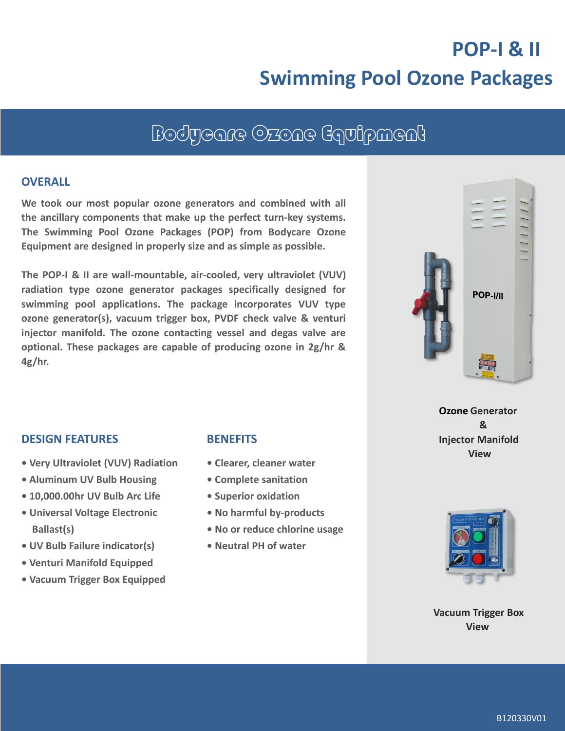# **POP-I & II Swimming Pool Ozone Packages**

## Bodycare Ozone Equipment

#### **OVERALL**

**We took our most popular ozone generators and combined with all the ancillary components that make up the perfect turn-key systems. The Swimming Pool Ozone Packages (POP) from Bodycare Ozone Equipment are designed in properly size and as simple as possible.**

**The POP-I & II are wall-mountable, air-cooled, very ultraviolet (VUV) radiation type ozone generator packages specifically designed for swimming pool applications. The package incorporates VUV type ozone generator(s), vacuum trigger box, PVDF check valve & venturi injector manifold. The ozone contacting vessel and degas valve are optional. These packages are capable of producing ozone in 2g/hr & 4g/hr.**



**Ozone Generator & Injector Manifold View**

#### **DESIGN FEATURES**

- **Very Ultraviolet (VUV) Radiation**
- **Aluminum UV Bulb Housing**
- **10,000.00hr UV Bulb Arc Life**
- **• Universal Voltage Electronic Ballast(s)**
- **• UV Bulb Failure indicator(s)**
- **• Venturi Manifold Equipped**
- **• Vacuum Trigger Box Equipped**

#### **BENEFITS**

- **Clearer, cleaner water**
- **Complete sanitation**
- **Superior oxidation**
- **• No harmful by-products**
- **• No or reduce chlorine usage**
- **Neutral PH of water**



**Vacuum Trigger Box View**